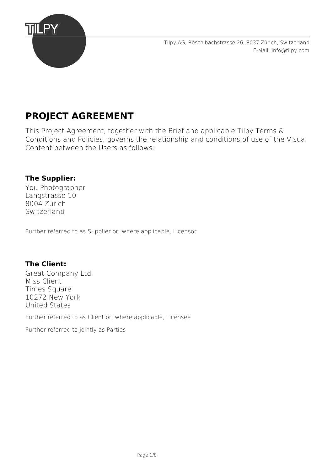

Tilpy AG, Röschibachstrasse 26, 8037 Zürich, Switzerland [E-Mail: info@tilpy.com](mailto:finance@tilpy.com)

# **PROJECT AGREEMENT**

This Project Agreement, together with the Brief and applicable Tilpy Terms & Conditions and Policies, governs the relationship and conditions of use of the Visual Content between the Users as follows:

### **The Supplier:**

You Photographer Langstrasse 10 8004 Zürich Switzerland

Further referred to as Supplier or, where applicable, Licensor

### **The Client:**

Great Company Ltd. Miss Client Times Square 10272 New York United States

Further referred to as Client or, where applicable, Licensee

Further referred to jointly as Parties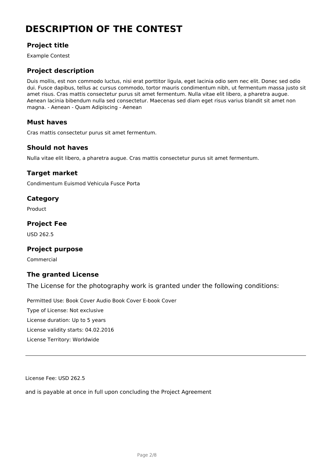# **DESCRIPTION OF THE CONTEST**

### **Project title**

Example Contest

### **Project description**

Duis mollis, est non commodo luctus, nisi erat porttitor ligula, eget lacinia odio sem nec elit. Donec sed odio dui. Fusce dapibus, tellus ac cursus commodo, tortor mauris condimentum nibh, ut fermentum massa justo sit amet risus. Cras mattis consectetur purus sit amet fermentum. Nulla vitae elit libero, a pharetra augue. Aenean lacinia bibendum nulla sed consectetur. Maecenas sed diam eget risus varius blandit sit amet non magna. - Aenean - Quam Adipiscing - Aenean

#### **Must haves**

Cras mattis consectetur purus sit amet fermentum.

#### **Should not haves**

Nulla vitae elit libero, a pharetra augue. Cras mattis consectetur purus sit amet fermentum.

### **Target market**

Condimentum Euismod Vehicula Fusce Porta

### **Category**

Product

### **Project Fee**

USD 262.5

### **Project purpose**

Commercial

#### **The granted License**

The License for the photography work is granted under the following conditions:

Permitted Use: Book Cover Audio Book Cover E-book Cover Type of License: Not exclusive License duration: Up to 5 years License validity starts: 04.02.2016 License Territory: Worldwide

License Fee: USD 262.5

and is payable at once in full upon concluding the Project Agreement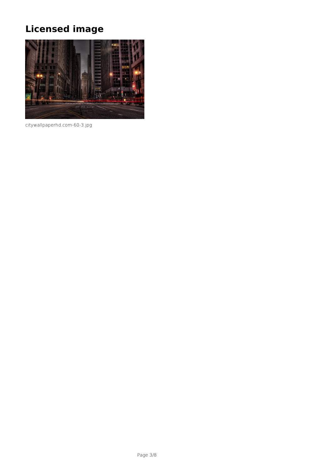# **Licensed image**



citywallpaperhd.com-60-3.jpg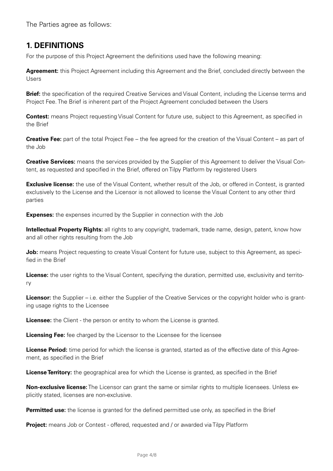The Parties agree as follows:

### **1. DEFINITIONS**

For the purpose of this Project Agreement the definitions used have the following meaning:

**Agreement:** this Project Agreement including this Agreement and the Brief, concluded directly between the Users

**Brief:** the specification of the required Creative Services and Visual Content, including the License terms and Project Fee. The Brief is inherent part of the Project Agreement concluded between the Users

**Contest:** means Project requesting Visual Content for future use, subject to this Agreement, as specified in the Brief

**Creative Fee:** part of the total Project Fee – the fee agreed for the creation of the Visual Content – as part of the Job

**Creative Services:** means the services provided by the Supplier of this Agreement to deliver the Visual Content, as requested and specified in the Brief, offered on Tilpy Platform by registered Users

**Exclusive license:** the use of the Visual Content, whether result of the Job, or offered in Contest, is granted exclusively to the License and the Licensor is not allowed to license the Visual Content to any other third parties

**Expenses:** the expenses incurred by the Supplier in connection with the Job

**Intellectual Property Rights:** all rights to any copyright, trademark, trade name, design, patent, know how and all other rights resulting from the Job

**Job:** means Project requesting to create Visual Content for future use, subject to this Agreement, as specified in the Brief

**License:** the user rights to the Visual Content, specifying the duration, permitted use, exclusivity and territory

**Licensor:** the Supplier – i.e. either the Supplier of the Creative Services or the copyright holder who is granting usage rights to the Licensee

**Licensee:** the Client - the person or entity to whom the License is granted.

**Licensing Fee:** fee charged by the Licensor to the Licensee for the licensee

**License Period:** time period for which the license is granted, started as of the effective date of this Agreement, as specified in the Brief

**License Territory:** the geographical area for which the License is granted, as specified in the Brief

**Non-exclusive license:** The Licensor can grant the same or similar rights to multiple licensees. Unless explicitly stated, licenses are non-exclusive.

**Permitted use:** the license is granted for the defined permitted use only, as specified in the Brief

**Project:** means Job or Contest - offered, requested and / or awarded via Tilpy Platform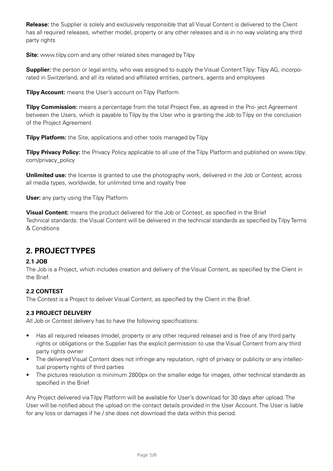**Release:** the Supplier is solely and exclusively responsible that all Visual Content is delivered to the Client has all required releases, whether model, property or any other releases and is in no way violating any third party rights

**Site:** www.tilpy.com and any other related sites managed by Tilpy

**Supplier:** the person or legal entity, who was assigned to supply the Visual Content Tilpy: Tilpy AG, incorporated in Switzerland, and all its related and affiliated entities, partners, agents and employees

**Tilpy Account:** means the User's account on Tilpy Platform

**Tilpy Commission:** means a percentage from the total Project Fee, as agreed in the Pro- ject Agreement between the Users, which is payable to Tilpy by the User who is granting the Job to Tilpy on the conclusion of the Project Agreement

**Tilpy Platform:** the Site, applications and other tools managed by Tilpy

**Tilpy Privacy Policy:** the Privacy Policy applicable to all use of the Tilpy Platform and published on www.tilpy. com/privacy\_policy

**Unlimited use:** the license is granted to use the photography work, delivered in the Job or Contest, across all media types, worldwide, for unlimited time and royalty free

**User:** any party using the Tilpy Platform

**Visual Content:** means the product delivered for the Job or Contest, as specified in the Brief Technical standards: the Visual Content will be delivered in the technical standards as specified by Tilpy Terms & Conditions

# **2. PROJECT TYPES**

#### **2.1 JOB**

The Job is a Project, which includes creation and delivery of the Visual Content, as specified by the Client in the Brief.

### **2.2 CONTEST**

The Contest is a Project to deliver Visual Content, as specified by the Client in the Brief.

#### **2.3 PROJECT DELIVERY**

All Job or Contest delivery has to have the following specifications:

- Has all required releases (model, property or any other required release) and is free of any third party rights or obligations or the Supplier has the explicit permission to use the Visual Content from any third party rights owner
- The delivered Visual Content does not infringe any reputation, right of privacy or publicity or any intellectual property rights of third parties
- The pictures resolution is minimum 2800px on the smaller edge for images, other technical standards as specified in the Brief

Any Project delivered via Tilpy Platform will be available for User's download for 30 days after upload. The User will be notified about the upload on the contact details provided in the User Account. The User is liable for any loss or damages if he / she does not download the data within this period.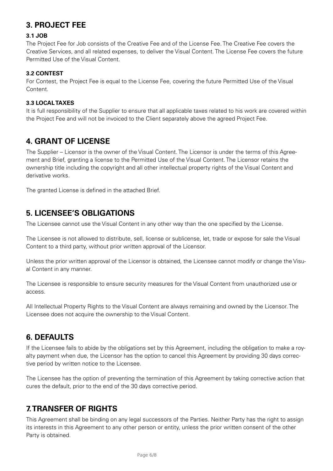# **3. PROJECT FEE**

#### **3.1 JOB**

The Project Fee for Job consists of the Creative Fee and of the License Fee. The Creative Fee covers the Creative Services, and all related expenses, to deliver the Visual Content. The License Fee covers the future Permitted Use of the Visual Content.

#### **3.2 CONTEST**

For Contest, the Project Fee is equal to the License Fee, covering the future Permitted Use of the Visual Content.

#### **3.3 LOCAL TAXES**

It is full responsibility of the Supplier to ensure that all applicable taxes related to his work are covered within the Project Fee and will not be invoiced to the Client separately above the agreed Project Fee.

### **4. GRANT OF LICENSE**

The Supplier – Licensor is the owner of the Visual Content. The Licensor is under the terms of this Agreement and Brief, granting a license to the Permitted Use of the Visual Content. The Licensor retains the ownership title including the copyright and all other intellectual property rights of the Visual Content and derivative works.

The granted License is defined in the attached Brief.

### **5. LICENSEE'S OBLIGATIONS**

The Licensee cannot use the Visual Content in any other way than the one specified by the License.

The Licensee is not allowed to distribute, sell, license or sublicense, let, trade or expose for sale the Visual Content to a third party, without prior written approval of the Licensor.

Unless the prior written approval of the Licensor is obtained, the Licensee cannot modify or change the Visual Content in any manner.

The Licensee is responsible to ensure security measures for the Visual Content from unauthorized use or access.

All Intellectual Property Rights to the Visual Content are always remaining and owned by the Licensor. The Licensee does not acquire the ownership to the Visual Content.

### **6. DEFAULTS**

If the Licensee fails to abide by the obligations set by this Agreement, including the obligation to make a royalty payment when due, the Licensor has the option to cancel this Agreement by providing 30 days corrective period by written notice to the Licensee.

The Licensee has the option of preventing the termination of this Agreement by taking corrective action that cures the default, prior to the end of the 30 days corrective period.

# **7. TRANSFER OF RIGHTS**

This Agreement shall be binding on any legal successors of the Parties. Neither Party has the right to assign its interests in this Agreement to any other person or entity, unless the prior written consent of the other Party is obtained.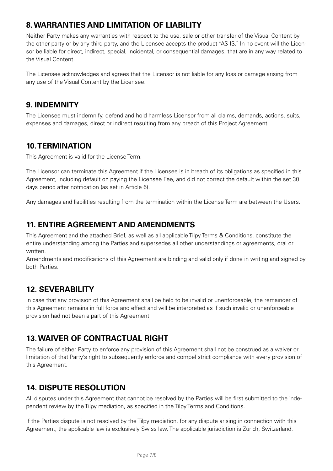# **8. WARRANTIES AND LIMITATION OF LIABILITY**

Neither Party makes any warranties with respect to the use, sale or other transfer of the Visual Content by the other party or by any third party, and the Licensee accepts the product "AS IS." In no event will the Licensor be liable for direct, indirect, special, incidental, or consequential damages, that are in any way related to the Visual Content.

The Licensee acknowledges and agrees that the Licensor is not liable for any loss or damage arising from any use of the Visual Content by the Licensee.

### **9. INDEMNITY**

The Licensee must indemnify, defend and hold harmless Licensor from all claims, demands, actions, suits, expenses and damages, direct or indirect resulting from any breach of this Project Agreement.

### **10. TERMINATION**

This Agreement is valid for the License Term.

The Licensor can terminate this Agreement if the Licensee is in breach of its obligations as specified in this Agreement, including default on paying the Licensee Fee, and did not correct the default within the set 30 days period after notification (as set in Article 6).

Any damages and liabilities resulting from the termination within the License Term are between the Users.

# **11. ENTIRE AGREEMENT AND AMENDMENTS**

This Agreement and the attached Brief, as well as all applicable Tilpy Terms & Conditions, constitute the entire understanding among the Parties and supersedes all other understandings or agreements, oral or written.

Amendments and modifications of this Agreement are binding and valid only if done in writing and signed by both Parties.

# **12. SEVERABILITY**

In case that any provision of this Agreement shall be held to be invalid or unenforceable, the remainder of this Agreement remains in full force and effect and will be interpreted as if such invalid or unenforceable provision had not been a part of this Agreement.

# **13. WAIVER OF CONTRACTUAL RIGHT**

The failure of either Party to enforce any provision of this Agreement shall not be construed as a waiver or limitation of that Party's right to subsequently enforce and compel strict compliance with every provision of this Agreement.

# **14. DISPUTE RESOLUTION**

All disputes under this Agreement that cannot be resolved by the Parties will be first submitted to the independent review by the Tilpy mediation, as specified in the Tilpy Terms and Conditions.

If the Parties dispute is not resolved by the Tilpy mediation, for any dispute arising in connection with this Agreement, the applicable law is exclusively Swiss law. The applicable jurisdiction is Zürich, Switzerland.